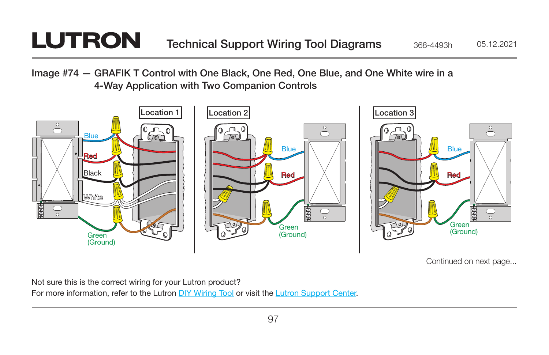## **LUTRON**

Image #74 — GRAFIK T Control with One Black, One Red, One Blue, and One White wire in a 4-Way Application with Two Companion Controls



Continued on next page...

Not sure this is the correct wiring for your Lutron product? For more information, refer to the Lutron [DIY Wiring Tool](http://www.lutron.com/wiringtool) or visit the [Lutron Support Center.](http://www.lutron.com/en-US/pages/SupportCenter/support.aspx)